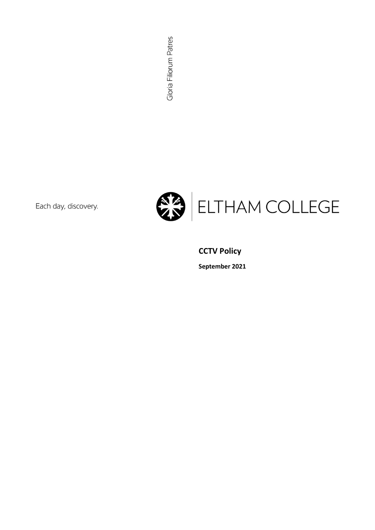Gloria Filiorum Patres

Each day, discovery.



# **CCTV Policy**

September 2021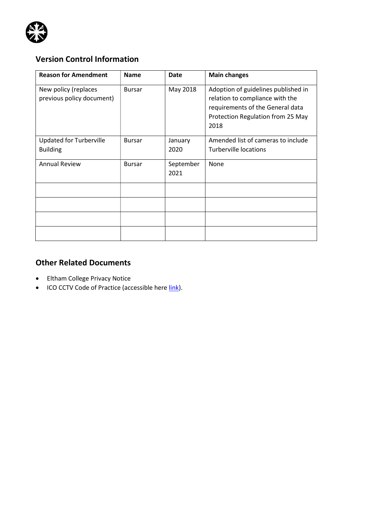

# Version Control Information

| <b>Reason for Amendment</b>                       | <b>Name</b>   | <b>Date</b>       | <b>Main changes</b>                                                                                                                                     |
|---------------------------------------------------|---------------|-------------------|---------------------------------------------------------------------------------------------------------------------------------------------------------|
| New policy (replaces<br>previous policy document) | <b>Bursar</b> | May 2018          | Adoption of guidelines published in<br>relation to compliance with the<br>requirements of the General data<br>Protection Regulation from 25 May<br>2018 |
| <b>Updated for Turberville</b><br><b>Building</b> | <b>Bursar</b> | January<br>2020   | Amended list of cameras to include<br>Turberville locations                                                                                             |
| <b>Annual Review</b>                              | <b>Bursar</b> | September<br>2021 | None                                                                                                                                                    |
|                                                   |               |                   |                                                                                                                                                         |
|                                                   |               |                   |                                                                                                                                                         |
|                                                   |               |                   |                                                                                                                                                         |
|                                                   |               |                   |                                                                                                                                                         |

## Other Related Documents

- Eltham College Privacy Notice
- ICO CCTV Code of Practice (accessible here link).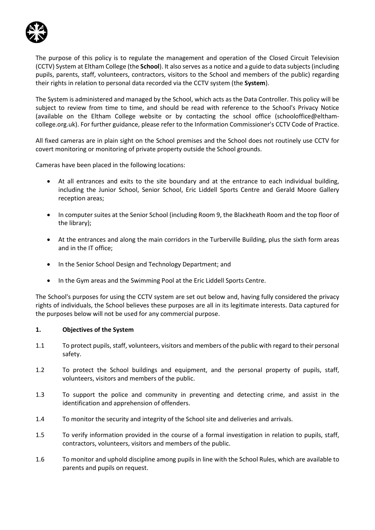

The purpose of this policy is to regulate the management and operation of the Closed Circuit Television (CCTV) System at Eltham College (the School). It also serves as a notice and a guide to data subjects (including pupils, parents, staff, volunteers, contractors, visitors to the School and members of the public) regarding their rights in relation to personal data recorded via the CCTV system (the System).

The System is administered and managed by the School, which acts as the Data Controller. This policy will be subject to review from time to time, and should be read with reference to the School's Privacy Notice (available on the Eltham College website or by contacting the school office (schooloffice@elthamcollege.org.uk). For further guidance, please refer to the Information Commissioner's CCTV Code of Practice.

All fixed cameras are in plain sight on the School premises and the School does not routinely use CCTV for covert monitoring or monitoring of private property outside the School grounds.

Cameras have been placed in the following locations:

- At all entrances and exits to the site boundary and at the entrance to each individual building, including the Junior School, Senior School, Eric Liddell Sports Centre and Gerald Moore Gallery reception areas;
- In computer suites at the Senior School (including Room 9, the Blackheath Room and the top floor of the library);
- At the entrances and along the main corridors in the Turberville Building, plus the sixth form areas and in the IT office;
- In the Senior School Design and Technology Department; and
- In the Gym areas and the Swimming Pool at the Eric Liddell Sports Centre.

The School's purposes for using the CCTV system are set out below and, having fully considered the privacy rights of individuals, the School believes these purposes are all in its legitimate interests. Data captured for the purposes below will not be used for any commercial purpose.

#### 1. Objectives of the System

- 1.1 To protect pupils, staff, volunteers, visitors and members of the public with regard to their personal safety.
- 1.2 To protect the School buildings and equipment, and the personal property of pupils, staff, volunteers, visitors and members of the public.
- 1.3 To support the police and community in preventing and detecting crime, and assist in the identification and apprehension of offenders.
- 1.4 To monitor the security and integrity of the School site and deliveries and arrivals.
- 1.5 To verify information provided in the course of a formal investigation in relation to pupils, staff, contractors, volunteers, visitors and members of the public.
- 1.6 To monitor and uphold discipline among pupils in line with the School Rules, which are available to parents and pupils on request.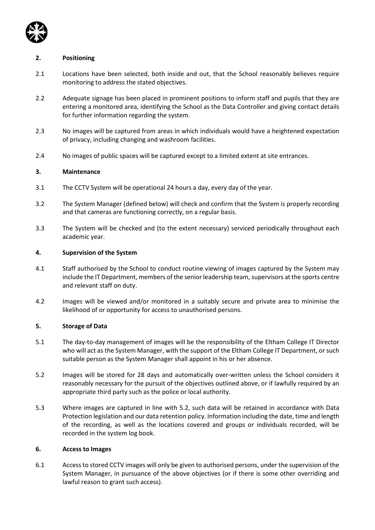

#### 2. Positioning

- 2.1 Locations have been selected, both inside and out, that the School reasonably believes require monitoring to address the stated objectives.
- 2.2 Adequate signage has been placed in prominent positions to inform staff and pupils that they are entering a monitored area, identifying the School as the Data Controller and giving contact details for further information regarding the system.
- 2.3 No images will be captured from areas in which individuals would have a heightened expectation of privacy, including changing and washroom facilities.
- 2.4 No images of public spaces will be captured except to a limited extent at site entrances.

#### 3. Maintenance

- 3.1 The CCTV System will be operational 24 hours a day, every day of the year.
- 3.2 The System Manager (defined below) will check and confirm that the System is properly recording and that cameras are functioning correctly, on a regular basis.
- 3.3 The System will be checked and (to the extent necessary) serviced periodically throughout each academic year.

#### 4. Supervision of the System

- 4.1 Staff authorised by the School to conduct routine viewing of images captured by the System may include the IT Department, members of the senior leadership team, supervisors at the sports centre and relevant staff on duty.
- 4.2 Images will be viewed and/or monitored in a suitably secure and private area to minimise the likelihood of or opportunity for access to unauthorised persons.

#### 5. Storage of Data

- 5.1 The day-to-day management of images will be the responsibility of the Eltham College IT Director who will act as the System Manager, with the support of the Eltham College IT Department, or such suitable person as the System Manager shall appoint in his or her absence.
- 5.2 Images will be stored for 28 days and automatically over-written unless the School considers it reasonably necessary for the pursuit of the objectives outlined above, or if lawfully required by an appropriate third party such as the police or local authority.
- 5.3 Where images are captured in line with 5.2, such data will be retained in accordance with Data Protection legislation and our data retention policy. Information including the date, time and length of the recording, as well as the locations covered and groups or individuals recorded, will be recorded in the system log book.

#### 6. Access to Images

6.1 Access to stored CCTV images will only be given to authorised persons, under the supervision of the System Manager, in pursuance of the above objectives (or if there is some other overriding and lawful reason to grant such access).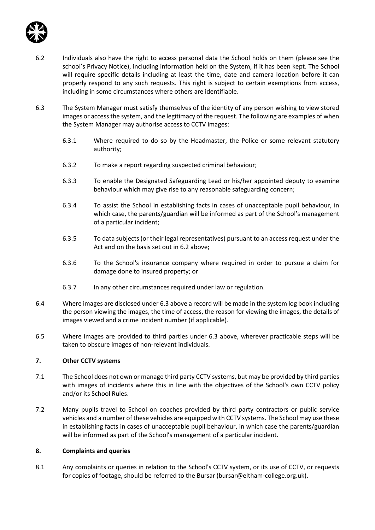

- 6.2 Individuals also have the right to access personal data the School holds on them (please see the school's Privacy Notice), including information held on the System, if it has been kept. The School will require specific details including at least the time, date and camera location before it can properly respond to any such requests. This right is subject to certain exemptions from access, including in some circumstances where others are identifiable.
- 6.3 The System Manager must satisfy themselves of the identity of any person wishing to view stored images or access the system, and the legitimacy of the request. The following are examples of when the System Manager may authorise access to CCTV images:
	- 6.3.1 Where required to do so by the Headmaster, the Police or some relevant statutory authority;
	- 6.3.2 To make a report regarding suspected criminal behaviour;
	- 6.3.3 To enable the Designated Safeguarding Lead or his/her appointed deputy to examine behaviour which may give rise to any reasonable safeguarding concern;
	- 6.3.4 To assist the School in establishing facts in cases of unacceptable pupil behaviour, in which case, the parents/guardian will be informed as part of the School's management of a particular incident;
	- 6.3.5 To data subjects (or their legal representatives) pursuant to an access request under the Act and on the basis set out in 6.2 above;
	- 6.3.6 To the School's insurance company where required in order to pursue a claim for damage done to insured property; or
	- 6.3.7 In any other circumstances required under law or regulation.
- 6.4 Where images are disclosed under 6.3 above a record will be made in the system log book including the person viewing the images, the time of access, the reason for viewing the images, the details of images viewed and a crime incident number (if applicable).
- 6.5 Where images are provided to third parties under 6.3 above, wherever practicable steps will be taken to obscure images of non-relevant individuals.

### 7. Other CCTV systems

- 7.1 The School does not own or manage third party CCTV systems, but may be provided by third parties with images of incidents where this in line with the objectives of the School's own CCTV policy and/or its School Rules.
- 7.2 Many pupils travel to School on coaches provided by third party contractors or public service vehicles and a number of these vehicles are equipped with CCTV systems. The School may use these in establishing facts in cases of unacceptable pupil behaviour, in which case the parents/guardian will be informed as part of the School's management of a particular incident.

#### 8. Complaints and queries

8.1 Any complaints or queries in relation to the School's CCTV system, or its use of CCTV, or requests for copies of footage, should be referred to the Bursar (bursar@eltham-college.org.uk).